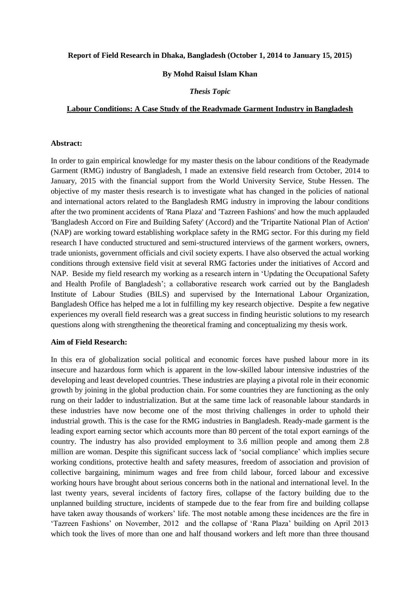#### **Report of Field Research in Dhaka, Bangladesh (October 1, 2014 to January 15, 2015)**

### **By Mohd Raisul Islam Khan**

# *Thesis Topic*

#### **Labour Conditions: A Case Study of the Readymade Garment Industry in Bangladesh**

## **Abstract:**

In order to gain empirical knowledge for my master thesis on the labour conditions of the Readymade Garment (RMG) industry of Bangladesh, I made an extensive field research from October, 2014 to January, 2015 with the financial support from the World University Service, Stube Hessen. The objective of my master thesis research is to investigate what has changed in the policies of national and international actors related to the Bangladesh RMG industry in improving the labour conditions after the two prominent accidents of 'Rana Plaza' and 'Tazreen Fashions' and how the much applauded 'Bangladesh Accord on Fire and Building Safety' (Accord) and the 'Tripartite National Plan of Action' (NAP) are working toward establishing workplace safety in the RMG sector. For this during my field research I have conducted structured and semi-structured interviews of the garment workers, owners, trade unionists, government officials and civil society experts. I have also observed the actual working conditions through extensive field visit at several RMG factories under the initiatives of Accord and NAP. Beside my field research my working as a research intern in 'Updating the Occupational Safety and Health Profile of Bangladesh'; a collaborative research work carried out by the Bangladesh Institute of Labour Studies (BILS) and supervised by the International Labour Organization, Bangladesh Office has helped me a lot in fulfilling my key research objective. Despite a few negative experiences my overall field research was a great success in finding heuristic solutions to my research questions along with strengthening the theoretical framing and conceptualizing my thesis work.

## **Aim of Field Research:**

In this era of globalization social political and economic forces have pushed labour more in its insecure and hazardous form which is apparent in the low-skilled labour intensive industries of the developing and least developed countries. These industries are playing a pivotal role in their economic growth by joining in the global production chain. For some countries they are functioning as the only rung on their ladder to industrialization. But at the same time lack of reasonable labour standards in these industries have now become one of the most thriving challenges in order to uphold their industrial growth. This is the case for the RMG industries in Bangladesh. Ready-made garment is the leading export earning sector which accounts more than 80 percent of the total export earnings of the country. The industry has also provided employment to 3.6 million people and among them 2.8 million are woman. Despite this significant success lack of 'social compliance' which implies secure working conditions, protective health and safety measures, freedom of association and provision of collective bargaining, minimum wages and free from child labour, forced labour and excessive working hours have brought about serious concerns both in the national and international level. In the last twenty years, several incidents of factory fires, collapse of the factory building due to the unplanned building structure, incidents of stampede due to the fear from fire and building collapse have taken away thousands of workers' life. The most notable among these incidences are the fire in 'Tazreen Fashions' on November, 2012 and the collapse of 'Rana Plaza' building on April 2013 which took the lives of more than one and half thousand workers and left more than three thousand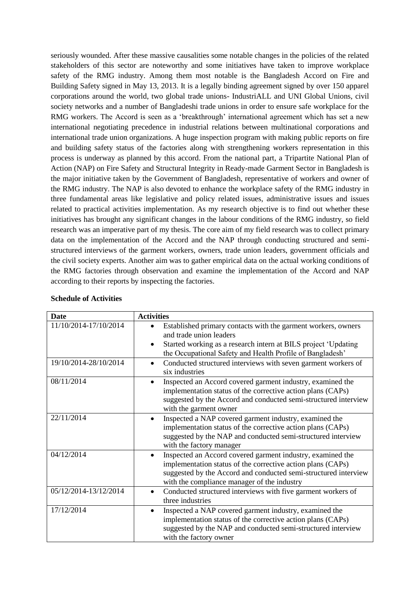seriously wounded. After these massive causalities some notable changes in the policies of the related stakeholders of this sector are noteworthy and some initiatives have taken to improve workplace safety of the RMG industry. Among them most notable is the Bangladesh Accord on Fire and Building Safety signed in May 13, 2013. It is a legally binding agreement signed by over 150 apparel corporations around the world, two global trade unions- IndustriALL and UNI Global Unions, civil society networks and a number of Bangladeshi trade unions in order to ensure safe workplace for the RMG workers. The Accord is seen as a 'breakthrough' international agreement which has set a new international negotiating precedence in industrial relations between multinational corporations and international trade union organizations. A huge inspection program with making public reports on fire and building safety status of the factories along with strengthening workers representation in this process is underway as planned by this accord. From the national part, a Tripartite National Plan of Action (NAP) on Fire Safety and Structural Integrity in Ready-made Garment Sector in Bangladesh is the major initiative taken by the Government of Bangladesh, representative of workers and owner of the RMG industry. The NAP is also devoted to enhance the workplace safety of the RMG industry in three fundamental areas like legislative and policy related issues, administrative issues and issues related to practical activities implementation. As my research objective is to find out whether these initiatives has brought any significant changes in the labour conditions of the RMG industry, so field research was an imperative part of my thesis. The core aim of my field research was to collect primary data on the implementation of the Accord and the NAP through conducting structured and semistructured interviews of the garment workers, owners, trade union leaders, government officials and the civil society experts. Another aim was to gather empirical data on the actual working conditions of the RMG factories through observation and examine the implementation of the Accord and NAP according to their reports by inspecting the factories.

| <b>Date</b>           | <b>Activities</b>                                                                                                                                                                                                                                        |
|-----------------------|----------------------------------------------------------------------------------------------------------------------------------------------------------------------------------------------------------------------------------------------------------|
| 11/10/2014-17/10/2014 | Established primary contacts with the garment workers, owners<br>and trade union leaders<br>Started working as a research intern at BILS project 'Updating<br>the Occupational Safety and Health Profile of Bangladesh'                                  |
| 19/10/2014-28/10/2014 | Conducted structured interviews with seven garment workers of<br>six industries                                                                                                                                                                          |
| 08/11/2014            | Inspected an Accord covered garment industry, examined the<br>implementation status of the corrective action plans (CAPs)<br>suggested by the Accord and conducted semi-structured interview<br>with the garment owner                                   |
| 22/11/2014            | Inspected a NAP covered garment industry, examined the<br>$\bullet$<br>implementation status of the corrective action plans (CAPs)<br>suggested by the NAP and conducted semi-structured interview<br>with the factory manager                           |
| 04/12/2014            | Inspected an Accord covered garment industry, examined the<br>$\bullet$<br>implementation status of the corrective action plans (CAPs)<br>suggested by the Accord and conducted semi-structured interview<br>with the compliance manager of the industry |
| 05/12/2014-13/12/2014 | Conducted structured interviews with five garment workers of<br>three industries                                                                                                                                                                         |
| 17/12/2014            | Inspected a NAP covered garment industry, examined the<br>$\bullet$<br>implementation status of the corrective action plans (CAPs)<br>suggested by the NAP and conducted semi-structured interview<br>with the factory owner                             |

#### **Schedule of Activities**